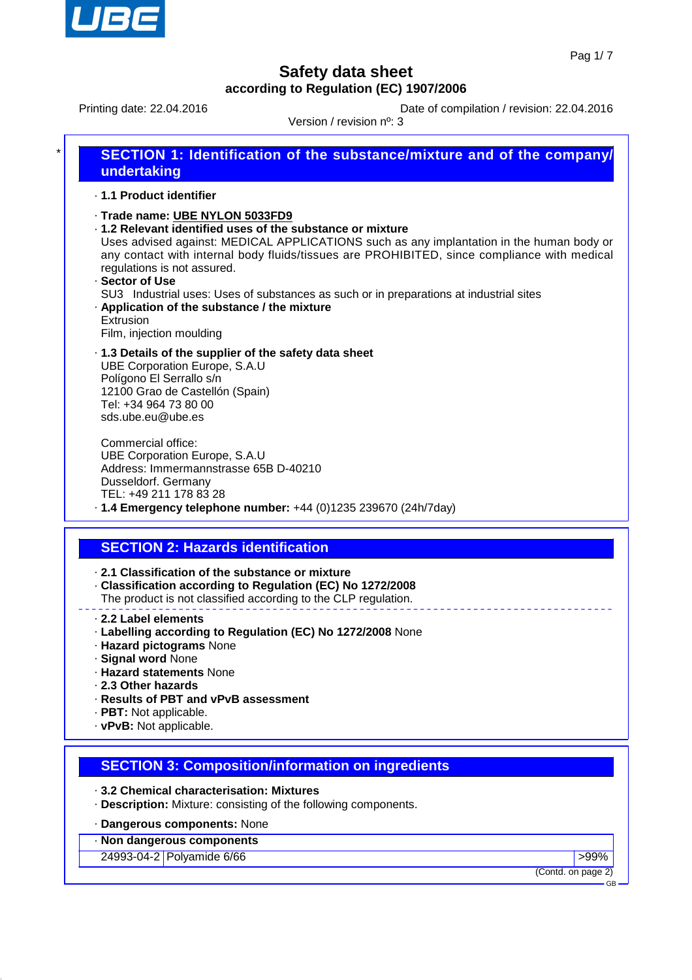

Printing date: 22.04.2016 **Date of compilation / revision: 22.04.2016** 

Version / revision nº: 3

| ¥ | <b>SECTION 1: Identification of the substance/mixture and of the company/</b><br>undertaking                                                                                                                                                                                                                                                                                                                                                                                                                               |  |  |
|---|----------------------------------------------------------------------------------------------------------------------------------------------------------------------------------------------------------------------------------------------------------------------------------------------------------------------------------------------------------------------------------------------------------------------------------------------------------------------------------------------------------------------------|--|--|
|   | ⋅ 1.1 Product identifier                                                                                                                                                                                                                                                                                                                                                                                                                                                                                                   |  |  |
|   | Trade name: UBE NYLON 5033FD9<br>.1.2 Relevant identified uses of the substance or mixture<br>Uses advised against: MEDICAL APPLICATIONS such as any implantation in the human body or<br>any contact with internal body fluids/tissues are PROHIBITED, since compliance with medical<br>regulations is not assured.<br>· Sector of Use<br>SU3 Industrial uses: Uses of substances as such or in preparations at industrial sites<br>. Application of the substance / the mixture<br>Extrusion<br>Film, injection moulding |  |  |
|   | .1.3 Details of the supplier of the safety data sheet<br><b>UBE Corporation Europe, S.A.U</b>                                                                                                                                                                                                                                                                                                                                                                                                                              |  |  |

Polígono El Serrallo s/n 12100 Grao de Castellón (Spain) Tel: +34 964 73 80 00 sds.ube.eu@ube.es

Commercial office: UBE Corporation Europe, S.A.U Address: Immermannstrasse 65B D-40210 Dusseldorf. Germany TEL: +49 211 178 83 28 · **1.4 Emergency telephone number:** +44 (0)1235 239670 (24h/7day)

# **SECTION 2: Hazards identification**

· **2.1 Classification of the substance or mixture**

- · **Classification according to Regulation (EC) No 1272/2008**
- The product is not classified according to the CLP regulation.
- · **2.2 Label elements**
- · **Labelling according to Regulation (EC) No 1272/2008** None
- · **Hazard pictograms** None
- · **Signal word** None
- · **Hazard statements** None
- · **2.3 Other hazards**
- · **Results of PBT and vPvB assessment**
- · **PBT:** Not applicable.
- · **vPvB:** Not applicable.

## **SECTION 3: Composition/information on ingredients**

· **3.2 Chemical characterisation: Mixtures**

· **Description:** Mixture: consisting of the following components.

### · **Dangerous components:** None

· **Non dangerous components**

24993-04-2 Polyamide 6/66 **big and the set of the set of the set of the set of the set of the set of the set of the set of the set of the set of the set of the set of the set of the set of the set of the set of the set of** 

(Contd. on page 2)

GB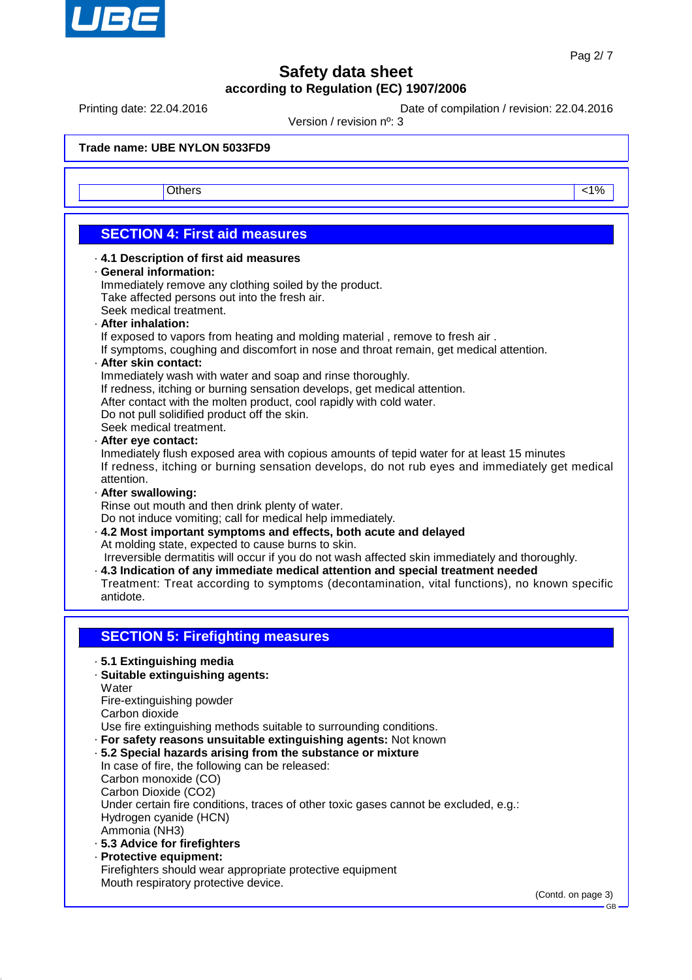

Printing date: 22.04.2016 **Date of compilation / revision: 22.04.2016** 

Version / revision nº: 3

**Trade name: UBE NYLON 5033FD9**

Others and the contract of the contract of the contract of the contract of the contract of the contract of the contract of the contract of the contract of the contract of the contract of the contract of the contract of the

# **SECTION 4: First aid measures**

#### · **4.1 Description of first aid measures**

#### · **General information:**

Immediately remove any clothing soiled by the product. Take affected persons out into the fresh air. Seek medical treatment.

#### · **After inhalation:**

If exposed to vapors from heating and molding material , remove to fresh air .

If symptoms, coughing and discomfort in nose and throat remain, get medical attention.

#### · **After skin contact:**

Immediately wash with water and soap and rinse thoroughly.

If redness, itching or burning sensation develops, get medical attention.

After contact with the molten product, cool rapidly with cold water.

Do not pull solidified product off the skin.

Seek medical treatment.

#### · **After eye contact:**

Inmediately flush exposed area with copious amounts of tepid water for at least 15 minutes If redness, itching or burning sensation develops, do not rub eyes and immediately get medical attention.

· **After swallowing:**

Rinse out mouth and then drink plenty of water.

Do not induce vomiting; call for medical help immediately.

· **4.2 Most important symptoms and effects, both acute and delayed** At molding state, expected to cause burns to skin.

Irreversible dermatitis will occur if you do not wash affected skin immediately and thoroughly.

· **4.3 Indication of any immediate medical attention and special treatment needed** Treatment: Treat according to symptoms (decontamination, vital functions), no known specific antidote.

## **SECTION 5: Firefighting measures**

· **5.1 Extinguishing media**

### · **Suitable extinguishing agents:**

**Water** 

Fire-extinguishing powder

Carbon dioxide

Use fire extinguishing methods suitable to surrounding conditions.

· **For safety reasons unsuitable extinguishing agents:** Not known

#### · **5.2 Special hazards arising from the substance or mixture**

In case of fire, the following can be released: Carbon monoxide (CO) Carbon Dioxide (CO2) Under certain fire conditions, traces of other toxic gases cannot be excluded, e.g.: Hydrogen cyanide (HCN) Ammonia (NH3)

- · **5.3 Advice for firefighters**
- · **Protective equipment:** Firefighters should wear appropriate protective equipment Mouth respiratory protective device.

(Contd. on page 3)

GB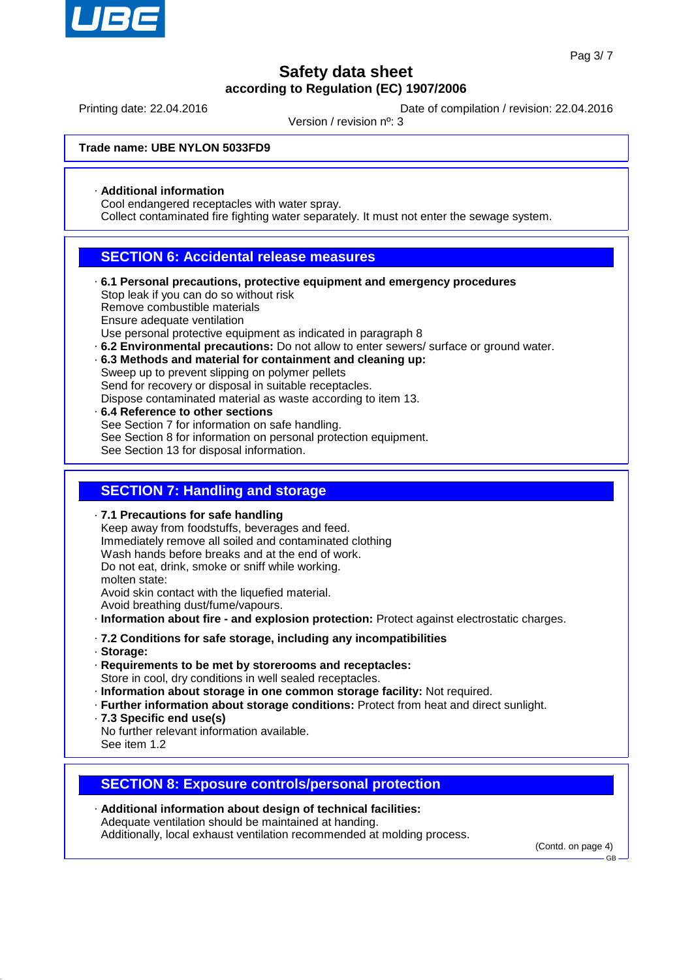

Printing date: 22.04.2016 **Date of compilation / revision: 22.04.2016** 

Version / revision nº: 3

**Trade name: UBE NYLON 5033FD9**

· **Additional information**

Cool endangered receptacles with water spray.

Collect contaminated fire fighting water separately. It must not enter the sewage system.

### **SECTION 6: Accidental release measures**

- · **6.1 Personal precautions, protective equipment and emergency procedures** Stop leak if you can do so without risk Remove combustible materials Ensure adequate ventilation Use personal protective equipment as indicated in paragraph 8
- · **6.2 Environmental precautions:** Do not allow to enter sewers/ surface or ground water.
- · **6.3 Methods and material for containment and cleaning up:** Sweep up to prevent slipping on polymer pellets Send for recovery or disposal in suitable receptacles. Dispose contaminated material as waste according to item 13.
- · **6.4 Reference to other sections** See Section 7 for information on safe handling. See Section 8 for information on personal protection equipment. See Section 13 for disposal information.

### **SECTION 7: Handling and storage**

· **7.1 Precautions for safe handling** Keep away from foodstuffs, beverages and feed. Immediately remove all soiled and contaminated clothing Wash hands before breaks and at the end of work. Do not eat, drink, smoke or sniff while working. molten state: Avoid skin contact with the liquefied material. Avoid breathing dust/fume/vapours. · **Information about fire - and explosion protection:** Protect against electrostatic charges. · **7.2 Conditions for safe storage, including any incompatibilities** · **Storage:** · **Requirements to be met by storerooms and receptacles:** Store in cool, dry conditions in well sealed receptacles.

- · **Information about storage in one common storage facility:** Not required.
- · **Further information about storage conditions:** Protect from heat and direct sunlight.
- · **7.3 Specific end use(s)**

No further relevant information available. See item 1.2

### **SECTION 8: Exposure controls/personal protection**

· **Additional information about design of technical facilities:** Adequate ventilation should be maintained at handing. Additionally, local exhaust ventilation recommended at molding process.

(Contd. on page 4)

GB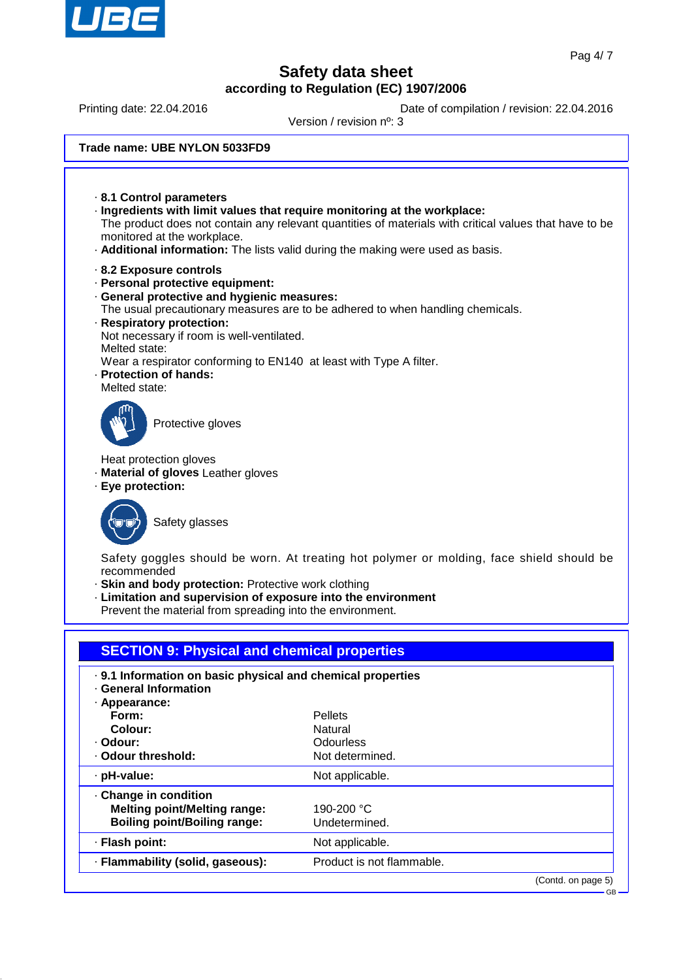

Printing date: 22.04.2016 **Date of compilation / revision: 22.04.2016** 

Version / revision nº: 3

#### **Trade name: UBE NYLON 5033FD9**

· **8.1 Control parameters** · **Ingredients with limit values that require monitoring at the workplace:** The product does not contain any relevant quantities of materials with critical values that have to be monitored at the workplace. · **Additional information:** The lists valid during the making were used as basis. · **8.2 Exposure controls** · **Personal protective equipment:** · **General protective and hygienic measures:** The usual precautionary measures are to be adhered to when handling chemicals. · **Respiratory protection:** Not necessary if room is well-ventilated. Melted state: Wear a respirator conforming to EN140 at least with Type A filter. · **Protection of hands:** Melted state: Protective gloves Heat protection gloves · **Material of gloves** Leather gloves · **Eye protection:** Safety glasses Safety goggles should be worn. At treating hot polymer or molding, face shield should be recommended · **Skin and body protection:** Protective work clothing · **Limitation and supervision of exposure into the environment** Prevent the material from spreading into the environment. **SECTION 9: Physical and chemical properties** · **9.1 Information on basic physical and chemical properties** · **General Information** · **Appearance: Form:** Pellets **Colour:** Natural · **Odour:** Communication Codourless<br>• **Odour threshold:** Codourless Codourless Codourless Codourless  $\cdot$  Odour threshold: · pH-value: Not applicable. · **Change in condition Melting point/Melting range:** 190-200 °C

**Boiling point/Boiling range:** Undetermined. · **Flash point:** Not applicable. · **Flammability (solid, gaseous):** Product is not flammable.

(Contd. on page 5)

GB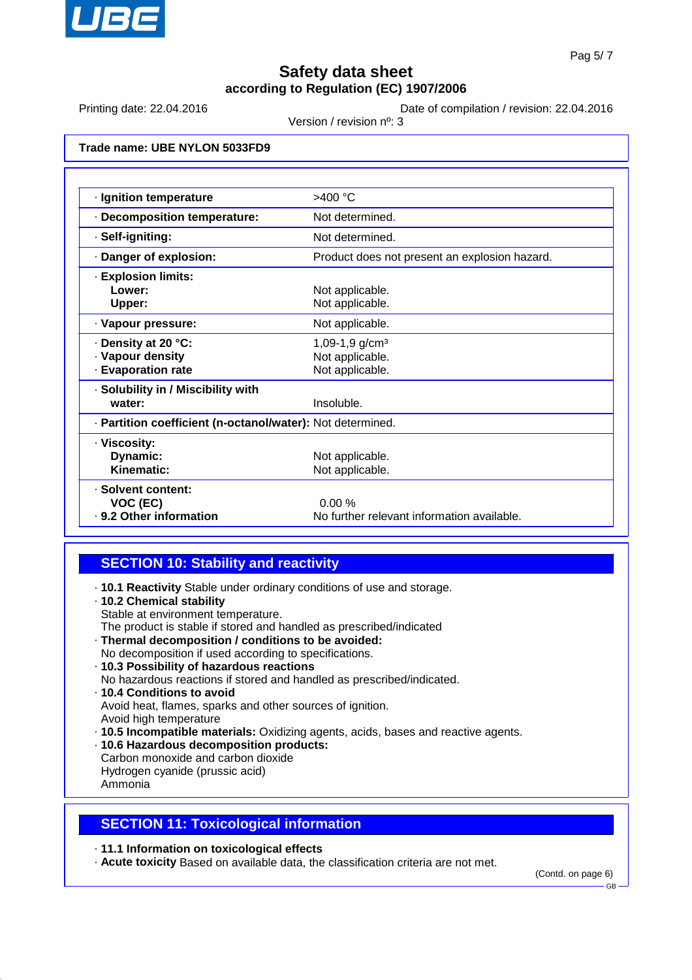

Printing date: 22.04.2016 **Date of compilation / revision: 22.04.2016** 

Version / revision nº: 3

**Trade name: UBE NYLON 5033FD9**

| · Ignition temperature                                             | $>400$ °C                                                        |  |
|--------------------------------------------------------------------|------------------------------------------------------------------|--|
| Decomposition temperature:                                         | Not determined.                                                  |  |
| · Self-igniting:                                                   | Not determined.                                                  |  |
| Danger of explosion:                                               | Product does not present an explosion hazard.                    |  |
| · Explosion limits:<br>Lower:<br>Upper:                            | Not applicable.<br>Not applicable.                               |  |
| · Vapour pressure:                                                 | Not applicable.                                                  |  |
| · Density at 20 °C:<br>· Vapour density<br><b>Evaporation rate</b> | 1,09-1,9 g/cm <sup>3</sup><br>Not applicable.<br>Not applicable. |  |
| · Solubility in / Miscibility with<br>water:                       | Insoluble.                                                       |  |
| · Partition coefficient (n-octanol/water): Not determined.         |                                                                  |  |
| · Viscosity:<br>Dynamic:<br>Kinematic:                             | Not applicable.<br>Not applicable.                               |  |
| · Solvent content:<br>VOC (EC)<br>· 9.2 Other information          | 0.00%<br>No further relevant information available.              |  |

## **SECTION 10: Stability and reactivity**

· **10.1 Reactivity** Stable under ordinary conditions of use and storage.

#### · **10.2 Chemical stability**

- Stable at environment temperature.
- The product is stable if stored and handled as prescribed/indicated
- · **Thermal decomposition / conditions to be avoided:**
- No decomposition if used according to specifications. · **10.3 Possibility of hazardous reactions**
- No hazardous reactions if stored and handled as prescribed/indicated.

#### · **10.4 Conditions to avoid** Avoid heat, flames, sparks and other sources of ignition. Avoid high temperature

- · **10.5 Incompatible materials:** Oxidizing agents, acids, bases and reactive agents.
- · **10.6 Hazardous decomposition products:**
- Carbon monoxide and carbon dioxide Hydrogen cyanide (prussic acid) Ammonia

## **SECTION 11: Toxicological information**

· **11.1 Information on toxicological effects**

· **Acute toxicity** Based on available data, the classification criteria are not met.

(Contd. on page 6)

GB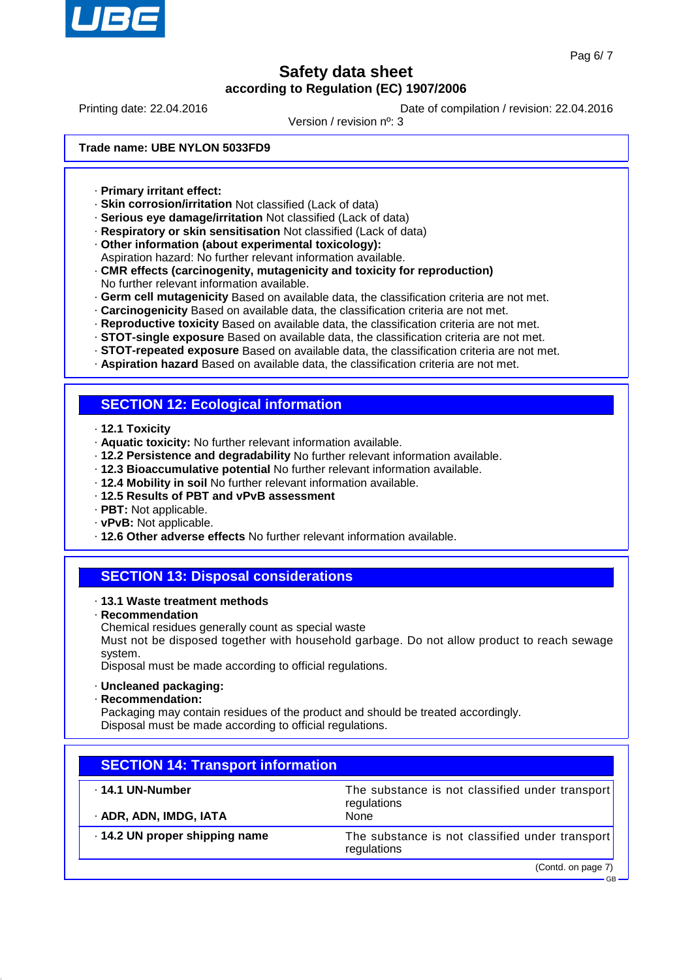

Printing date: 22.04.2016 **Date of compilation / revision: 22.04.2016** 

Version / revision nº: 3

**Trade name: UBE NYLON 5033FD9**

- · **Primary irritant effect:**
- · **Skin corrosion/irritation** Not classified (Lack of data)
- · **Serious eye damage/irritation** Not classified (Lack of data)
- · **Respiratory or skin sensitisation** Not classified (Lack of data)
- · **Other information (about experimental toxicology):**
- Aspiration hazard: No further relevant information available.
- · **CMR effects (carcinogenity, mutagenicity and toxicity for reproduction)** No further relevant information available.
- · **Germ cell mutagenicity** Based on available data, the classification criteria are not met.
- · **Carcinogenicity** Based on available data, the classification criteria are not met.
- · **Reproductive toxicity** Based on available data, the classification criteria are not met.
- · **STOT-single exposure** Based on available data, the classification criteria are not met.
- · **STOT-repeated exposure** Based on available data, the classification criteria are not met.
- · **Aspiration hazard** Based on available data, the classification criteria are not met.

## **SECTION 12: Ecological information**

- · **12.1 Toxicity**
- · **Aquatic toxicity:** No further relevant information available.
- · **12.2 Persistence and degradability** No further relevant information available.
- · **12.3 Bioaccumulative potential** No further relevant information available.
- · **12.4 Mobility in soil** No further relevant information available.
- · **12.5 Results of PBT and vPvB assessment**
- · **PBT:** Not applicable.
- · **vPvB:** Not applicable.
- · **12.6 Other adverse effects** No further relevant information available.

## **SECTION 13: Disposal considerations**

- · **13.1 Waste treatment methods**
- · **Recommendation**
- Chemical residues generally count as special waste

Must not be disposed together with household garbage. Do not allow product to reach sewage system.

Disposal must be made according to official regulations.

- · **Uncleaned packaging:**
- · **Recommendation:**

Packaging may contain residues of the product and should be treated accordingly. Disposal must be made according to official regulations.

| <b>SECTION 14: Transport information</b> |                                                                |  |
|------------------------------------------|----------------------------------------------------------------|--|
| $\cdot$ 14.1 UN-Number                   | The substance is not classified under transport<br>regulations |  |
| · ADR, ADN, IMDG, IATA                   | None                                                           |  |
| .14.2 UN proper shipping name            | The substance is not classified under transport<br>regulations |  |
|                                          | (Contd. on page 7)                                             |  |